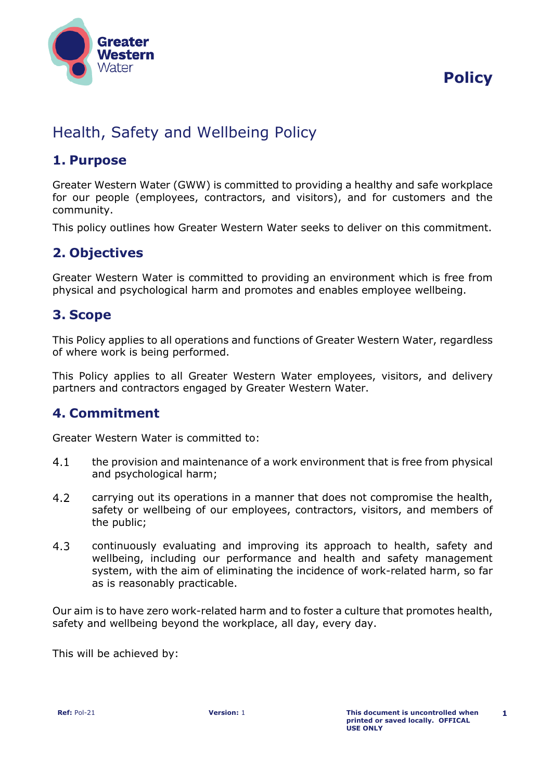

# **Policy**

# Health, Safety and Wellbeing Policy

### **1. Purpose**

Greater Western Water (GWW) is committed to providing a healthy and safe workplace for our people (employees, contractors, and visitors), and for customers and the community.

This policy outlines how Greater Western Water seeks to deliver on this commitment.

## **2. Objectives**

Greater Western Water is committed to providing an environment which is free from physical and psychological harm and promotes and enables employee wellbeing.

### **3. Scope**

This Policy applies to all operations and functions of Greater Western Water, regardless of where work is being performed.

This Policy applies to all Greater Western Water employees, visitors, and delivery partners and contractors engaged by Greater Western Water.

## **4. Commitment**

Greater Western Water is committed to:

- $4.1$ the provision and maintenance of a work environment that is free from physical and psychological harm;
- 4.2 carrying out its operations in a manner that does not compromise the health, safety or wellbeing of our employees, contractors, visitors, and members of the public;
- $4.3$ continuously evaluating and improving its approach to health, safety and wellbeing, including our performance and health and safety management system, with the aim of eliminating the incidence of work-related harm, so far as is reasonably practicable.

Our aim is to have zero work-related harm and to foster a culture that promotes health, safety and wellbeing beyond the workplace, all day, every day.

This will be achieved by: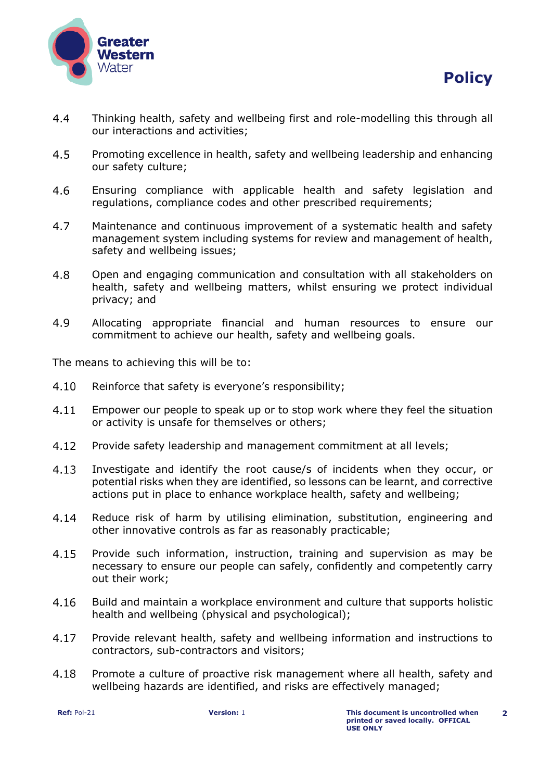



- $4.4$ Thinking health, safety and wellbeing first and role-modelling this through all our interactions and activities;
- 4.5 Promoting excellence in health, safety and wellbeing leadership and enhancing our safety culture;
- $4.6$ Ensuring compliance with applicable health and safety legislation and regulations, compliance codes and other prescribed requirements;
- 4.7 Maintenance and continuous improvement of a systematic health and safety management system including systems for review and management of health, safety and wellbeing issues;
- 4.8 Open and engaging communication and consultation with all stakeholders on health, safety and wellbeing matters, whilst ensuring we protect individual privacy; and
- 4.9 Allocating appropriate financial and human resources to ensure our commitment to achieve our health, safety and wellbeing goals.

The means to achieving this will be to:

- $4.10$ Reinforce that safety is everyone's responsibility;
- $4.11$ Empower our people to speak up or to stop work where they feel the situation or activity is unsafe for themselves or others;
- 4.12 Provide safety leadership and management commitment at all levels;
- $4.13$ Investigate and identify the root cause/s of incidents when they occur, or potential risks when they are identified, so lessons can be learnt, and corrective actions put in place to enhance workplace health, safety and wellbeing;
- $4.14$ Reduce risk of harm by utilising elimination, substitution, engineering and other innovative controls as far as reasonably practicable;
- Provide such information, instruction, training and supervision as may be 4.15 necessary to ensure our people can safely, confidently and competently carry out their work;
- $4.16$ Build and maintain a workplace environment and culture that supports holistic health and wellbeing (physical and psychological);
- 4.17 Provide relevant health, safety and wellbeing information and instructions to contractors, sub-contractors and visitors;
- 4.18 Promote a culture of proactive risk management where all health, safety and wellbeing hazards are identified, and risks are effectively managed;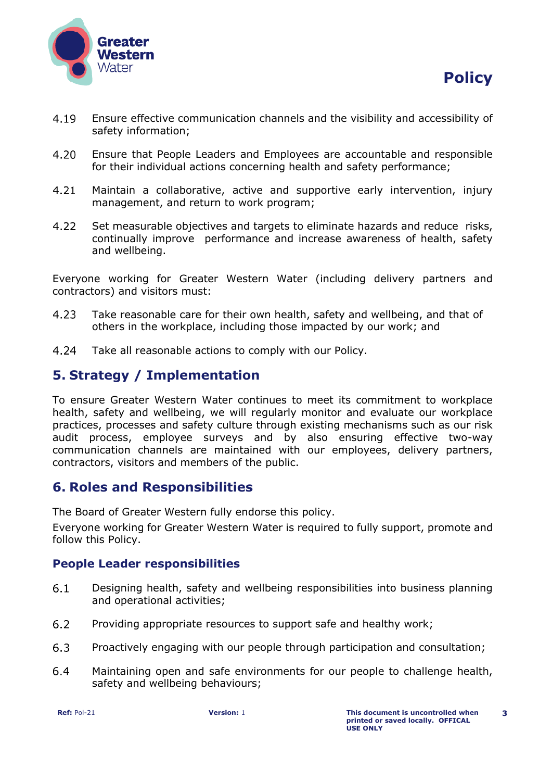

- 4.19 Ensure effective communication channels and the visibility and accessibility of safety information;
- $4.20$ Ensure that People Leaders and Employees are accountable and responsible for their individual actions concerning health and safety performance;
- 4.21 Maintain a collaborative, active and supportive early intervention, injury management, and return to work program;
- 4.22 Set measurable objectives and targets to eliminate hazards and reduce risks, continually improve performance and increase awareness of health, safety and wellbeing.

Everyone working for Greater Western Water (including delivery partners and contractors) and visitors must:

- 4.23 Take reasonable care for their own health, safety and wellbeing, and that of others in the workplace, including those impacted by our work; and
- $4.24$ Take all reasonable actions to comply with our Policy.

## **5. Strategy / Implementation**

To ensure Greater Western Water continues to meet its commitment to workplace health, safety and wellbeing, we will regularly monitor and evaluate our workplace practices, processes and safety culture through existing mechanisms such as our risk audit process, employee surveys and by also ensuring effective two-way communication channels are maintained with our employees, delivery partners, contractors, visitors and members of the public.

### **6. Roles and Responsibilities**

The Board of Greater Western fully endorse this policy.

Everyone working for Greater Western Water is required to fully support, promote and follow this Policy.

#### **People Leader responsibilities**

- $6.1$ Designing health, safety and wellbeing responsibilities into business planning and operational activities;
- $6.2$ Providing appropriate resources to support safe and healthy work;
- $6.3$ Proactively engaging with our people through participation and consultation;
- $6.4$ Maintaining open and safe environments for our people to challenge health, safety and wellbeing behaviours;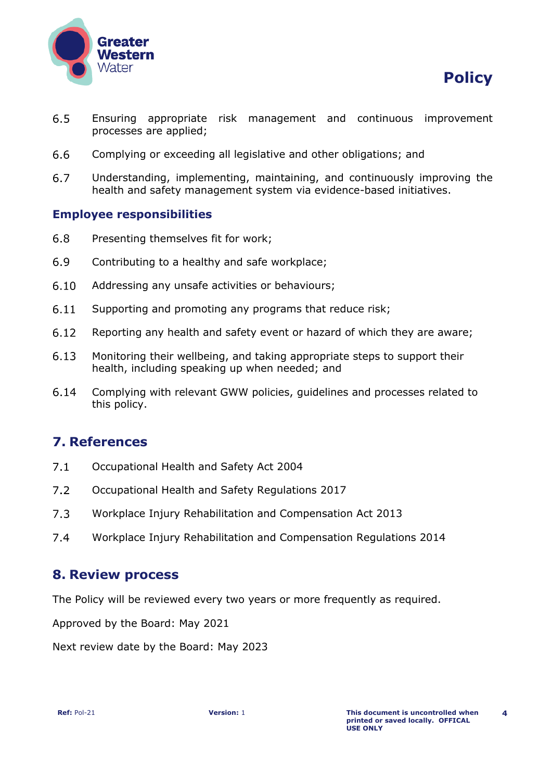

- $6.5$ Ensuring appropriate risk management and continuous improvement processes are applied;
- $6.6$ Complying or exceeding all legislative and other obligations; and
- $6.7$ Understanding, implementing, maintaining, and continuously improving the health and safety management system via evidence-based initiatives.

#### **Employee responsibilities**

- 6.8 Presenting themselves fit for work;
- 6.9 Contributing to a healthy and safe workplace;
- $6.10$ Addressing any unsafe activities or behaviours;
- $6.11$ Supporting and promoting any programs that reduce risk;
- $6.12$ Reporting any health and safety event or hazard of which they are aware;
- $6.13$ Monitoring their wellbeing, and taking appropriate steps to support their health, including speaking up when needed; and
- $6.14$ Complying with relevant GWW policies, guidelines and processes related to this policy.

#### **7. References**

- Occupational Health and Safety Act 2004  $7.1$
- $7.2$ Occupational Health and Safety Regulations 2017
- $7.3$ Workplace Injury Rehabilitation and Compensation Act 2013
- $7.4$ Workplace Injury Rehabilitation and Compensation Regulations 2014

#### **8. Review process**

The Policy will be reviewed every two years or more frequently as required.

Approved by the Board: May 2021

Next review date by the Board: May 2023